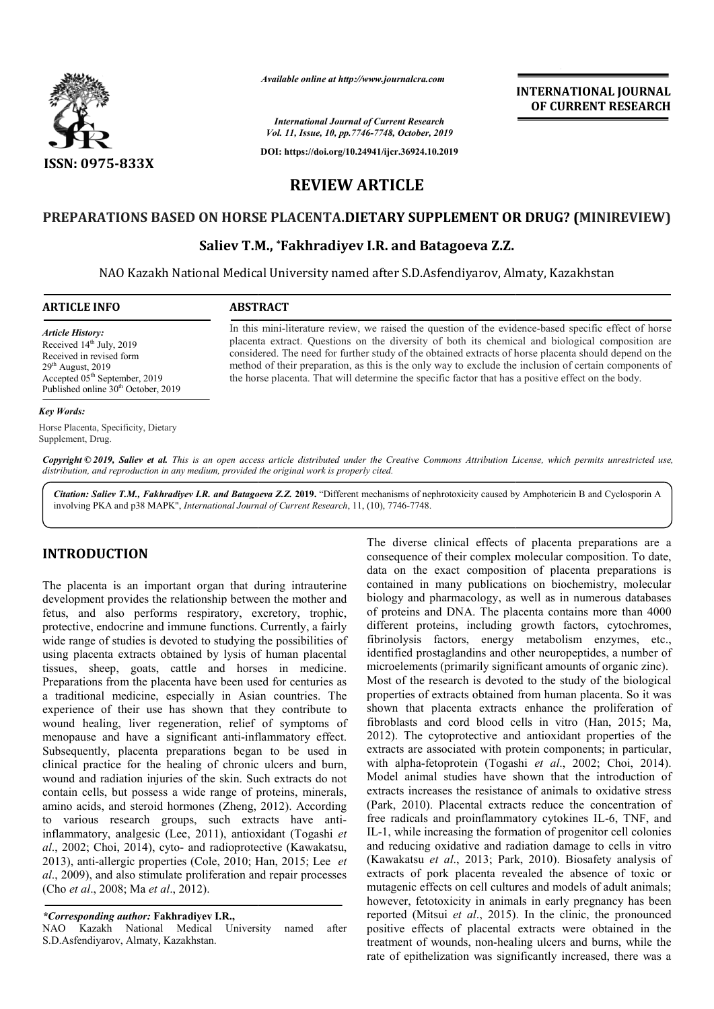

*Available online at http://www.journalcra.com*

*International Journal of Current Research Vol. 11, Issue, 10, pp.7746-7748, October, 2019*

**DOI: https://doi.org/10.24941/ijcr.36924.10.2019**

# **INTERNATIONAL JOURNAL OF CURRENT RESEARCH**

**REVIEW ARTICLE**

# PREPARATIONS BASED ON HORSE PLACENTA.DIETARY SUPPLEMENT OR DRUG? (MINIREVIEW)

# **Saliev T.M., \*Fakhradiyev I.R. and Batagoeva Z.Z.**

NAO Kazakh National Medical University named after S.D.Asfendiyarov, Almaty, Kazakhstan

In this mini-literature review, we raised the question of the evidence-based specific effect of horse placenta extract. Questions on the diversity of both its chemical and biological composition are considered. The need for further study of the obtained extracts of horse placenta should depend on the method of their preparation, as this is the only way to exclude the inclusion of certain components of placenta extract. Questions on the diversity of both its chemical and biological composition considered. The need for further study of the obtained extracts of horse placenta should depend method of their preparation, as t

### **ARTICLE INFO ABSTRACT**

*Article History:* Received 14<sup>th</sup> July, 2019 Received in revised form  $29<sup>th</sup>$  August,  $2019$ Accepted 05<sup>th</sup> September, 2019 Published online 30<sup>th</sup> October, 2019

*Key Words:*

Horse Placenta, Specificity, Dietary Supplement, Drug.

Copyright © 2019, Saliev et al. This is an open access article distributed under the Creative Commons Attribution License, which permits unrestricted use, *distribution, and reproduction in any medium, provided the original work is properly cited.*

Citation: Saliev T.M., Fakhradiyev I.R. and Batagoeva Z.Z. 2019. "Different mechanisms of nephrotoxicity caused by Amphotericin B and Cyclosporin A involving PKA and p38 MAPK", *International Journal of Current Research*, 11, (10), 7746-7748.

## **INTRODUCTION**

The placenta is an important organ that during intrauterine development provides the relationship between the mother and fetus, and also performs respiratory, excretory, trophic, protective, endocrine and immune functions. Currently, a fairly wide range of studies is devoted to studying the possibilities of using placenta extracts obtained by lysis of human placental tissues, sheep, goats, cattle and horses in medicine. Preparations from the placenta have been used for centuries as a traditional medicine, especially in Asian countries. The experience of their use has shown that they contribute to wound healing, liver regeneration, relief of symptoms of menopause and have a significant anti-inflammatory effect. Subsequently, placenta preparations began to be used in clinical practice for the healing of chronic ulcers and burn, wound and radiation injuries of the skin. Such extracts do not contain cells, but possess a wide range of proteins, minerals, amino acids, and steroid hormones (Zheng, 2012). According to various research groups, such extracts have antiinflammatory, analgesic (Lee, 2011), antioxidant (Togashi et *al*., 2002; Choi, 2014), cyto- and radioprotective (Kawakatsu, 2013), anti-allergic properties (Cole, 2010; Han, 2015; Lee *et al*., 2009), and also stimulate proliferation and repair processes (Cho *et al*., 2008; Ma *et al*., 2012). inflammatory effect.<br>gan to be used in<br>nic ulcers and burn,<br>Such extracts do not<br>of proteins, minerals,<br>ng, 2012). According

*\*Corresponding author:* **Fakhradiyev I.R.,**

NAO Kazakh National Medical University named after S.D.Asfendiyarov, Almaty, Kazakhstan.

**DUCTION**<br>
The diverse elimical effects of placenta preparations are a<br>
that is an important organ that during intratterine<br>
consequence of their complex molecular composition. To date,<br>
data on the exact composition of p The diverse clinical effects of placenta preparations are a consequence of their complex molecular composition. To date, data on the exact composition of placenta preparations is contained in many publications on biochemistry, molecular biology and pharmacology, as well as in numerous databases of proteins and DNA. The placenta contains more than 4000 different proteins, including growth factors, cytochromes, fibrinolysis factors, energy metabolism enzymes, etc., identified prostaglandins and other neuropeptides, a number of microelements (primarily significant amounts of organic zinc). Most of the research is devoted to the study of the biological properties of extracts obtained from human placenta. So it was shown that placenta extracts enhance the proliferation of fibroblasts and cord blood cells in vitro (Han, 2015; Ma, 2012). The cytoprotective and antioxidant properties of the extracts are associated with protein components; in particular, extracts are associated with protein components; in particular, with alpha-fetoprotein (Togashi *et al.*, 2002; Choi, 2014). Model animal studies have shown that the introduction of extracts increases the resistance of animals to oxidative stress (Park, 2010). Placental extracts reduce the concentration of (Park, 2010). Placental extracts reduce the concentration of free radicals and proinflammatory cytokines IL-6, TNF, and IL-1, while increasing the formation of progenitor cell colonies and reducing oxidative and radiation damage to cells in vitro (Kawakatsu *et al*., 2013; Park extracts of pork placenta revealed the absence of toxic or mutagenic effects on cell cultures and models of adult animals; however, fetotoxicity in animals in early pregnancy has been extracts of pork placenta revealed the absence of toxic or mutagenic effects on cell cultures and models of adult animals; however, fetotoxicity in animals in early pregnancy has been reported (Mitsui *et al.*, 2015). In t positive effects of placental extracts were obtained in the treatment of wounds, non-healing ulcers and burns, while the rate of epithelization was significantly increased, there was a the exact composition of placenta preparations is<br>in many publications on biochemistry, molecular<br>md pharmacology, as well as in numerous databases<br>is and DNA. The placenta contains more than 4000<br>proteins, including growt properties of extracts obtained from human placenta. So it was shown that placenta extracts enhance the proliferation of fibroblasts and cord blood cells in vitro (Han, 2015; Ma, 1, while increasing the formation of progenitor cell colonies<br>I reducing oxidative and radiation damage to cells in vitro<br>awakatsu *et al.*, 2013; Park, 2010). Biosafety analysis of INTERNATIONAL JOURNAL<br> **IDENTIFIEENTS (CONTREPART)**<br> **IDENTS (CONTREPART)**<br> **IDENTS (CONTREPART)**<br> **IDENTS (CONTREPART)**<br> **IDENTS (CONTREPART)**<br> **IDENTS (CONTREPART)**<br> **IDENTS (CONTREPART)**<br> **IDENTS (CONTREPART)**<br> **IDENTS**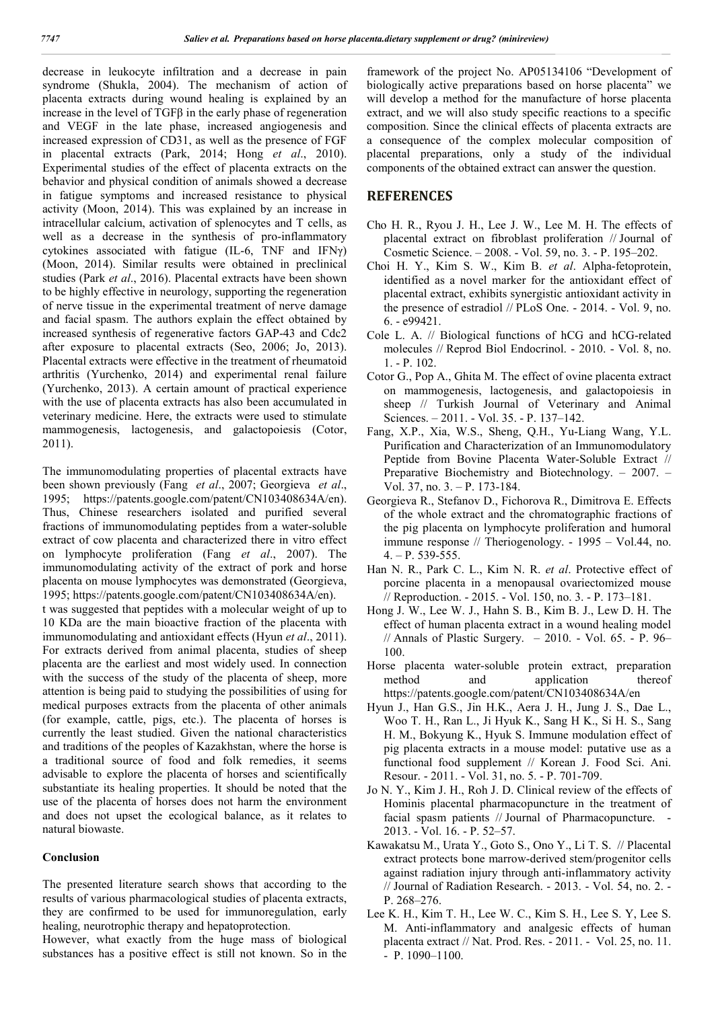decrease in leukocyte infiltration and a decrease in pain syndrome (Shukla, 2004). The mechanism of action of placenta extracts during wound healing is explained by an increase in the level of TGFβ in the early phase of regeneration and VEGF in the late phase, increased angiogenesis and increased expression of CD31, as well as the presence of FGF in placental extracts (Park, 2014; Hong *et al*., 2010). Experimental studies of the effect of placenta extracts on the behavior and physical condition of animals showed a decrease in fatigue symptoms and increased resistance to physical activity (Moon, 2014). This was explained by an increase in intracellular calcium, activation of splenocytes and T cells, as well as a decrease in the synthesis of pro-inflammatory cytokines associated with fatigue (IL-6, TNF and IFNγ) (Moon, 2014). Similar results were obtained in preclinical studies (Park *et al*., 2016). Placental extracts have been shown to be highly effective in neurology, supporting the regeneration of nerve tissue in the experimental treatment of nerve damage and facial spasm. The authors explain the effect obtained by increased synthesis of regenerative factors GAP-43 and Cdc2 after exposure to placental extracts (Seo, 2006; Jo, 2013). Placental extracts were effective in the treatment of rheumatoid arthritis (Yurchenko, 2014) and experimental renal failure (Yurchenko, 2013). A certain amount of practical experience with the use of placenta extracts has also been accumulated in veterinary medicine. Here, the extracts were used to stimulate mammogenesis, lactogenesis, and galactopoiesis (Cotor, 2011).

The immunomodulating properties of placental extracts have been shown previously (Fang *et al*., 2007; Georgieva *et al*., 1995; https://patents.google.com/patent/CN103408634A/en). Thus, Chinese researchers isolated and purified several fractions of immunomodulating peptides from a water-soluble extract of cow placenta and characterized there in vitro effect on lymphocyte proliferation (Fang *et al*., 2007). The immunomodulating activity of the extract of pork and horse placenta on mouse lymphocytes was demonstrated (Georgieva, 1995; https://patents.google.com/patent/CN103408634A/en).

t was suggested that peptides with a molecular weight of up to 10 KDa are the main bioactive fraction of the placenta with immunomodulating and antioxidant effects (Hyun *et al*., 2011). For extracts derived from animal placenta, studies of sheep placenta are the earliest and most widely used. In connection with the success of the study of the placenta of sheep, more attention is being paid to studying the possibilities of using for medical purposes extracts from the placenta of other animals (for example, cattle, pigs, etc.). The placenta of horses is currently the least studied. Given the national characteristics and traditions of the peoples of Kazakhstan, where the horse is a traditional source of food and folk remedies, it seems advisable to explore the placenta of horses and scientifically substantiate its healing properties. It should be noted that the use of the placenta of horses does not harm the environment and does not upset the ecological balance, as it relates to natural biowaste.

### **Conclusion**

The presented literature search shows that according to the results of various pharmacological studies of placenta extracts, they are confirmed to be used for immunoregulation, early healing, neurotrophic therapy and hepatoprotection.

However, what exactly from the huge mass of biological substances has a positive effect is still not known. So in the framework of the project No. AP05134106 "Development of biologically active preparations based on horse placenta" we will develop a method for the manufacture of horse placenta extract, and we will also study specific reactions to a specific composition. Since the clinical effects of placenta extracts are a consequence of the complex molecular composition of placental preparations, only a study of the individual components of the obtained extract can answer the question.

## **REFERENCES**

- Cho H. R., Ryou J. H., Lee J. W., Lee M. H. The effects of placental extract on fibroblast proliferation // Journal of Cosmetic Science. – 2008. - Vol. 59, no. 3. - P. 195–202.
- Choi H. Y., Kim S. W., Kim B. *et al*. Alpha-fetoprotein, identified as a novel marker for the antioxidant effect of placental extract, exhibits synergistic antioxidant activity in the presence of estradiol // PLoS One. - 2014. - Vol. 9, no. 6. - e99421.
- Cole L. A. // Biological functions of hCG and hCG-related molecules // Reprod Biol Endocrinol. - 2010. - Vol. 8, no. 1. - P. 102.
- Cotor G., Pop A., Ghita M. The effect of ovine placenta extract on mammogenesis, lactogenesis, and galactopoiesis in sheep // Turkish Journal of Veterinary and Animal Sciences. – 2011. - Vol. 35. - P. 137–142.
- Fang, X.P., Xia, W.S., Sheng, Q.H., Yu‐Liang Wang, Y.L. Purification and Characterization of an Immunomodulatory Peptide from Bovine Placenta Water‐Soluble Extract // Preparative Biochemistry and Biotechnology. – 2007. – Vol. 37, no. 3. – P. 173-184.
- Georgieva R., Stefanov D., Fichorova R., Dimitrova E. Effects of the whole extract and the chromatographic fractions of the pig placenta on lymphocyte proliferation and humoral immune response // Theriogenology. - 1995 – Vol.44, no. 4. – P. 539-555.
- Han N. R., Park C. L., Kim N. R. *et al*. Protective effect of porcine placenta in a menopausal ovariectomized mouse // Reproduction. - 2015. - Vol. 150, no. 3. - P. 173–181.
- Hong J. W., Lee W. J., Hahn S. B., Kim B. J., Lew D. H. The effect of human placenta extract in a wound healing model // Annals of Plastic Surgery. – 2010. - Vol. 65. - P. 96– 100.
- Horse placenta water-soluble protein extract, preparation method and application thereof https://patents.google.com/patent/CN103408634A/en
- Hyun J., Han G.S., Jin H.K., Aera J. H., Jung J. S., Dae L., Woo T. H., Ran L., Ji Hyuk K., Sang H K., Si H. S., Sang H. M., Bokyung K., Hyuk S. Immune modulation effect of pig placenta extracts in a mouse model: putative use as a functional food supplement // Korean J. Food Sci. Ani. Resour. - 2011. - Vol. 31, no. 5. - P. 701-709.
- Jo N. Y., Kim J. H., Roh J. D. Clinical review of the effects of Hominis placental pharmacopuncture in the treatment of facial spasm patients // Journal of Pharmacopuncture. - 2013. - Vol. 16. - P. 52–57.
- Kawakatsu M., Urata Y., Goto S., Ono Y., Li T. S. // Placental extract protects bone marrow-derived stem/progenitor cells against radiation injury through anti-inflammatory activity // Journal of Radiation Research. - 2013. - Vol. 54, no. 2. - P. 268–276.
- Lee K. H., Kim T. H., Lee W. C., Kim S. H., Lee S. Y, Lee S. M. Anti-inflammatory and analgesic effects of human placenta extract // Nat. Prod. Res. - 2011. - Vol. 25, no. 11. - P. 1090–1100.